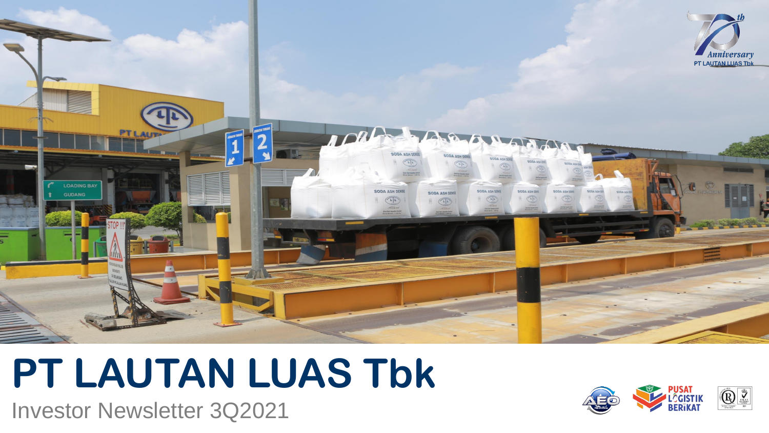

## **PT LAUTAN LUAS Tbk**

Investor Newsletter 3Q2021

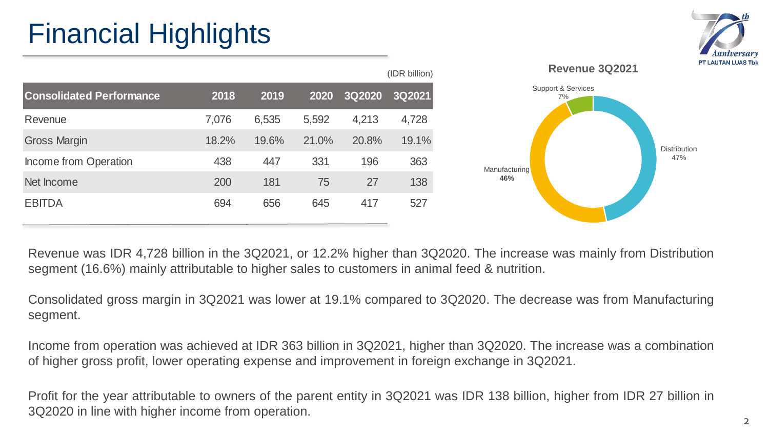## Financial Highlights

|                                 |       |       |       |        | (IDR billion) |
|---------------------------------|-------|-------|-------|--------|---------------|
| <b>Consolidated Performance</b> | 2018  | 2019  | 2020  | 3Q2020 | 3Q2021        |
| Revenue                         | 7,076 | 6,535 | 5,592 | 4,213  | 4,728         |
| <b>Gross Margin</b>             | 18.2% | 19.6% | 21.0% | 20.8%  | 19.1%         |
| Income from Operation           | 438   | 447   | 331   | 196    | 363           |
| Net Income                      | 200   | 181   | 75    | 27     | 138           |
| <b>EBITDA</b>                   | 694   | 656   | 645   | 417    | 527           |



Revenue was IDR 4,728 billion in the 3Q2021, or 12.2% higher than 3Q2020. The increase was mainly from Distribution segment (16.6%) mainly attributable to higher sales to customers in animal feed & nutrition.

Consolidated gross margin in 3Q2021 was lower at 19.1% compared to 3Q2020. The decrease was from Manufacturing segment.

Income from operation was achieved at IDR 363 billion in 3Q2021, higher than 3Q2020. The increase was a combination of higher gross profit, lower operating expense and improvement in foreign exchange in 3Q2021.

Profit for the year attributable to owners of the parent entity in 3Q2021 was IDR 138 billion, higher from IDR 27 billion in 3Q2020 in line with higher income from operation.

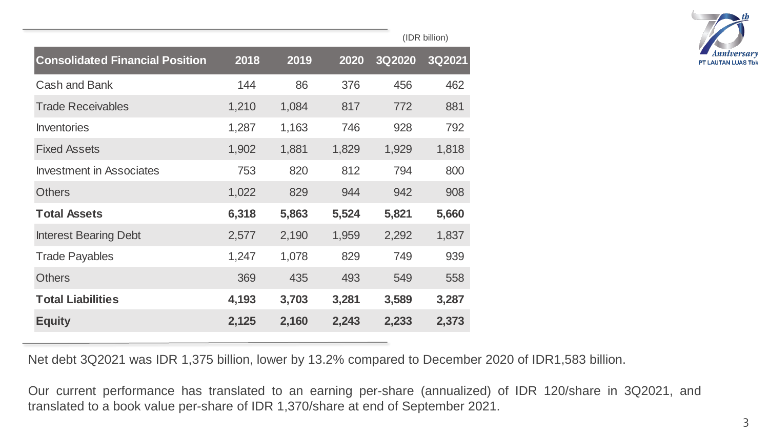|                                        |       |       |       | (IDR billion) |        |  |
|----------------------------------------|-------|-------|-------|---------------|--------|--|
| <b>Consolidated Financial Position</b> | 2018  | 2019  | 2020  | 3Q2020        | 3Q2021 |  |
| <b>Cash and Bank</b>                   | 144   | 86    | 376   | 456           | 462    |  |
| <b>Trade Receivables</b>               | 1,210 | 1,084 | 817   | 772           | 881    |  |
| <b>Inventories</b>                     | 1,287 | 1,163 | 746   | 928           | 792    |  |
| <b>Fixed Assets</b>                    | 1,902 | 1,881 | 1,829 | 1,929         | 1,818  |  |
| <b>Investment in Associates</b>        | 753   | 820   | 812   | 794           | 800    |  |
| <b>Others</b>                          | 1,022 | 829   | 944   | 942           | 908    |  |
| <b>Total Assets</b>                    | 6,318 | 5,863 | 5,524 | 5,821         | 5,660  |  |
| <b>Interest Bearing Debt</b>           | 2,577 | 2,190 | 1,959 | 2,292         | 1,837  |  |
| <b>Trade Payables</b>                  | 1,247 | 1,078 | 829   | 749           | 939    |  |
| <b>Others</b>                          | 369   | 435   | 493   | 549           | 558    |  |
| <b>Total Liabilities</b>               | 4,193 | 3,703 | 3,281 | 3,589         | 3,287  |  |
| <b>Equity</b>                          | 2,125 | 2,160 | 2,243 | 2,233         | 2,373  |  |



Net debt 3Q2021 was IDR 1,375 billion, lower by 13.2% compared to December 2020 of IDR1,583 billion.

Our current performance has translated to an earning per-share (annualized) of IDR 120/share in 3Q2021, and translated to a book value per-share of IDR 1,370/share at end of September 2021.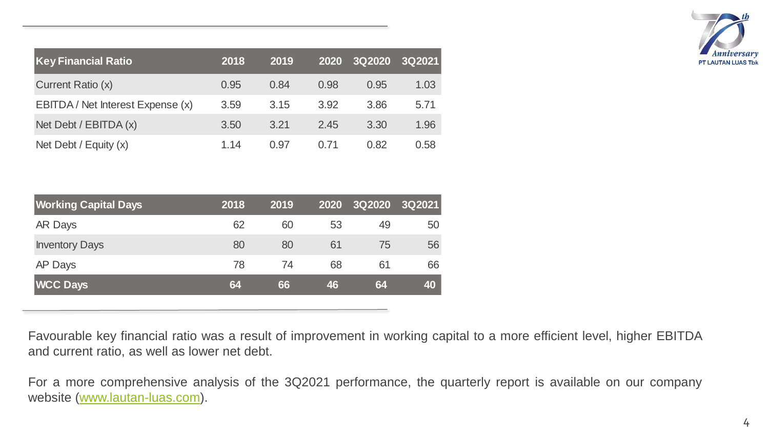| <b>Key Financial Ratio</b>        | 2018 | 2019 | 2020 | 3Q2020 | <b>3Q2021</b> |
|-----------------------------------|------|------|------|--------|---------------|
| Current Ratio (x)                 | 0.95 | 0.84 | 0.98 | 0.95   | 1.03          |
| EBITDA / Net Interest Expense (x) | 3.59 | 3.15 | 3.92 | 3.86   | 5.71          |
| Net Debt / $EBITDA(x)$            | 3.50 | 3.21 | 2.45 | 3.30   | 1.96          |
| Net Debt / Equity $(x)$           | 1.14 | 0.97 | O 71 | 0.82   | 0.58          |



| <b>Working Capital Days</b> | 2018 | 2019 | 2020 | <b>3Q2020</b> | 3Q2021 |
|-----------------------------|------|------|------|---------------|--------|
| AR Days                     | 62   | 60   | 53   | 49            | 50     |
| <b>Inventory Days</b>       | 80   | 80   | 61   | 75            | 56     |
| AP Days                     | 78   | 74   | 68   | 61            | 66     |
| <b>WCC Days</b>             | 64   | 66   | 46   | 64            | 40     |

Favourable key financial ratio was a result of improvement in working capital to a more efficient level, higher EBITDA and current ratio, as well as lower net debt.

For a more comprehensive analysis of the 3Q2021 performance, the quarterly report is available on our company website [\(www.lautan-luas.com\)](http://www.lautan-luas.com/).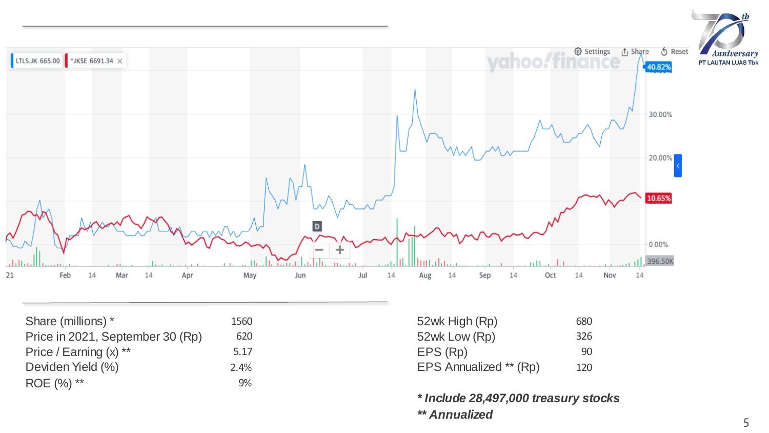

| Share (millions) *               | 1560 | 52wk High (Rp)         | 680 |
|----------------------------------|------|------------------------|-----|
| Price in 2021, September 30 (Rp) | 620  | 52wk Low (Rp)          | 326 |
| Price / Earning $(x)$ **         | 5.17 | EPS (Rp)               | 90  |
| Deviden Yield (%)                | 2.4% | EPS Annualized ** (Rp) | 120 |
| ROE (%) **                       | 9%   |                        |     |

| 680 |
|-----|
| 326 |
| 90  |
| 120 |
|     |

*\* Include 28,497,000 treasury stocks \*\* Annualized*